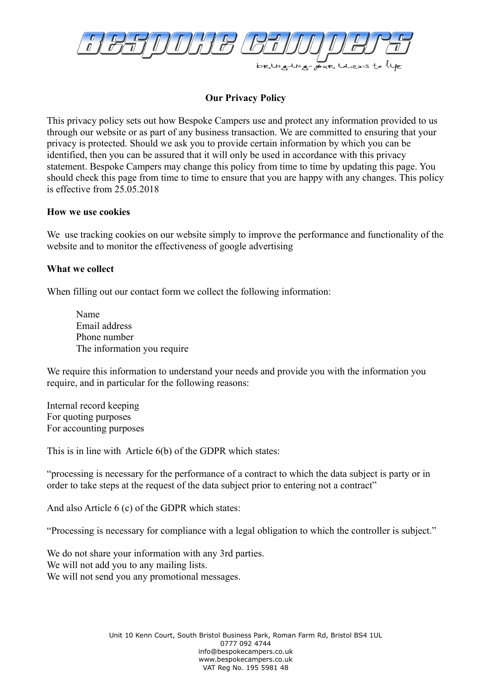

# **Our Privacy Policy**

This privacy policy sets out how Bespoke Campers use and protect any information provided to us through our website or as part of any business transaction. We are committed to ensuring that your privacy is protected. Should we ask you to provide certain information by which you can be identified, then you can be assured that it will only be used in accordance with this privacy statement. Bespoke Campers may change this policy from time to time by updating this page. You should check this page from time to time to ensure that you are happy with any changes. This policy is effective from 25.05.2018

#### **How we use cookies**

We use tracking cookies on our website simply to improve the performance and functionality of the website and to monitor the effectiveness of google advertising

### **What we collect**

When filling out our contact form we collect the following information:

Name Email address Phone number The information you require

We require this information to understand your needs and provide you with the information you require, and in particular for the following reasons:

Internal record keeping For quoting purposes For accounting purposes

This is in line with Article 6(b) of the GDPR which states:

"processing is necessary for the performance of a contract to which the data subject is party or in order to take steps at the request of the data subject prior to entering not a contract"

And also Article 6 (c) of the GDPR which states:

"Processing is necessary for compliance with a legal obligation to which the controller is subject."

We do not share your information with any 3rd parties. We will not add you to any mailing lists. We will not send you any promotional messages.